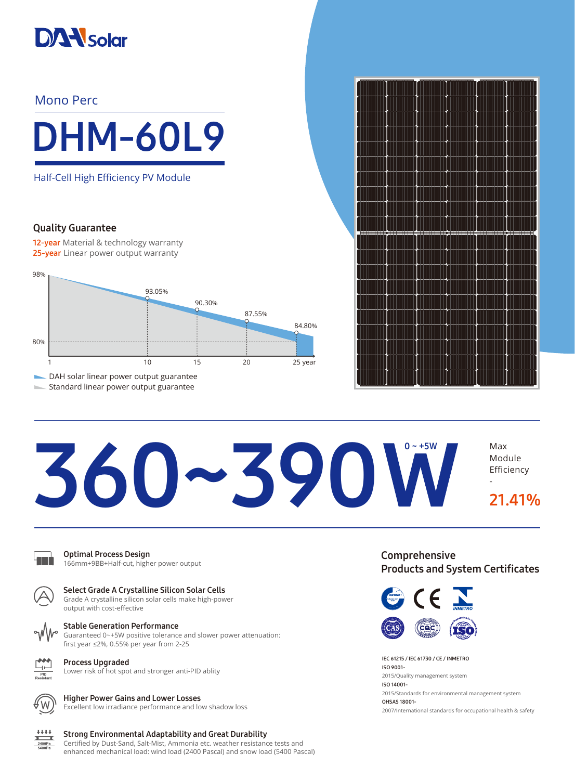

# Mono Perc



Half-Cell High Efficiency PV Module

## Quality Guarantee

12-year Material & technology warranty 25-year Linear power output warranty



Standard linear power output guarantee



# 360~390 W  $0 - +5W$

Optimal Process Design 166mm+9BB+Half-cut, higher power output



Select Grade A Crystalline Silicon Solar Cells Grade A crystalline silicon solar cells make high-power output with cost-effective



Stable Generation Performance

Guaranteed 0~+5W positive tolerance and slower power attenuation: first year ≤2%, 0.55% per year from 2-25

Process Upgraded Lower risk of hot spot and stronger anti-PID ablity



 $+ + + +$ 

### Higher Power Gains and Lower Losses

Excellent low irradiance performance and low shadow loss

#### Strong Environmental Adaptability and Great Durability 2400Pa

Certified by Dust-Sand, Salt-Mist, Ammonia etc. weather resistance tests and enhanced mechanical load: wind load (2400 Pascal) and snow load (5400 Pascal) Comprehensive Products and System Certificates

Module Efficiency

21.41%

-



IEC 61215 / IEC 61730 / CE / INMETRO ISO 9001- 2015/Quality management system ISO 14001- 2015/Standards for environmental management system OHSAS 18001- 2007/International standards for occupational health & safety